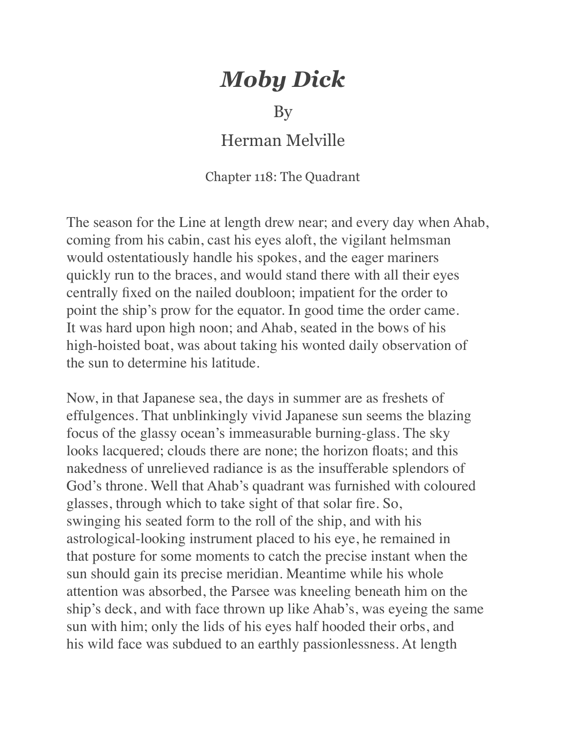## *Moby Dick*

## By

## Herman Melville

## Chapter 118: The Quadrant

The season for the Line at length drew near; and every day when Ahab, coming from his cabin, cast his eyes aloft, the vigilant helmsman would ostentatiously handle his spokes, and the eager mariners quickly run to the braces, and would stand there with all their eyes centrally fixed on the nailed doubloon; impatient for the order to point the ship's prow for the equator. In good time the order came. It was hard upon high noon; and Ahab, seated in the bows of his high-hoisted boat, was about taking his wonted daily observation of the sun to determine his latitude.

Now, in that Japanese sea, the days in summer are as freshets of effulgences. That unblinkingly vivid Japanese sun seems the blazing focus of the glassy ocean's immeasurable burning-glass. The sky looks lacquered; clouds there are none; the horizon floats; and this nakedness of unrelieved radiance is as the insufferable splendors of God's throne. Well that Ahab's quadrant was furnished with coloured glasses, through which to take sight of that solar fire. So, swinging his seated form to the roll of the ship, and with his astrological-looking instrument placed to his eye, he remained in that posture for some moments to catch the precise instant when the sun should gain its precise meridian. Meantime while his whole attention was absorbed, the Parsee was kneeling beneath him on the ship's deck, and with face thrown up like Ahab's, was eyeing the same sun with him; only the lids of his eyes half hooded their orbs, and his wild face was subdued to an earthly passionlessness. At length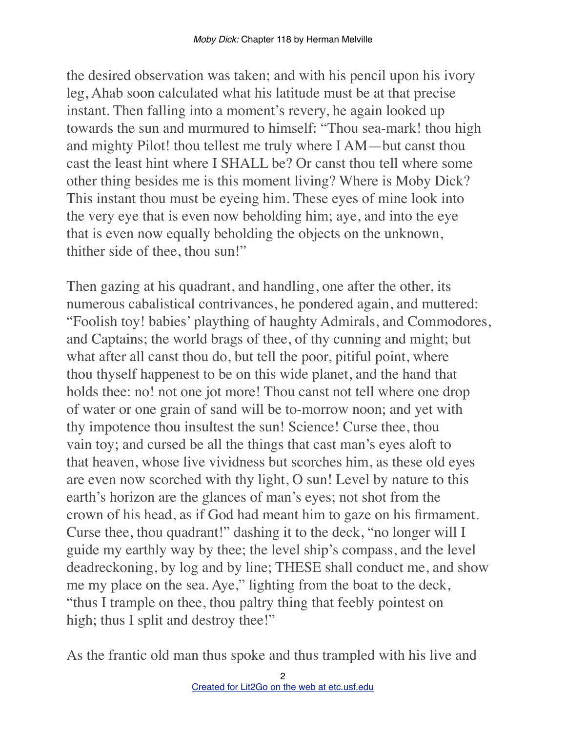the desired observation was taken; and with his pencil upon his ivory leg, Ahab soon calculated what his latitude must be at that precise instant. Then falling into a moment's revery, he again looked up towards the sun and murmured to himself: "Thou sea-mark! thou high and mighty Pilot! thou tellest me truly where I AM—but canst thou cast the least hint where I SHALL be? Or canst thou tell where some other thing besides me is this moment living? Where is Moby Dick? This instant thou must be eyeing him. These eyes of mine look into the very eye that is even now beholding him; aye, and into the eye that is even now equally beholding the objects on the unknown, thither side of thee, thou sun!"

Then gazing at his quadrant, and handling, one after the other, its numerous cabalistical contrivances, he pondered again, and muttered: "Foolish toy! babies' plaything of haughty Admirals, and Commodores, and Captains; the world brags of thee, of thy cunning and might; but what after all canst thou do, but tell the poor, pitiful point, where thou thyself happenest to be on this wide planet, and the hand that holds thee: no! not one jot more! Thou canst not tell where one drop of water or one grain of sand will be to-morrow noon; and yet with thy impotence thou insultest the sun! Science! Curse thee, thou vain toy; and cursed be all the things that cast man's eyes aloft to that heaven, whose live vividness but scorches him, as these old eyes are even now scorched with thy light, O sun! Level by nature to this earth's horizon are the glances of man's eyes; not shot from the crown of his head, as if God had meant him to gaze on his firmament. Curse thee, thou quadrant!" dashing it to the deck, "no longer will I guide my earthly way by thee; the level ship's compass, and the level deadreckoning, by log and by line; THESE shall conduct me, and show me my place on the sea. Aye," lighting from the boat to the deck, "thus I trample on thee, thou paltry thing that feebly pointest on high; thus I split and destroy thee!"

As the frantic old man thus spoke and thus trampled with his live and